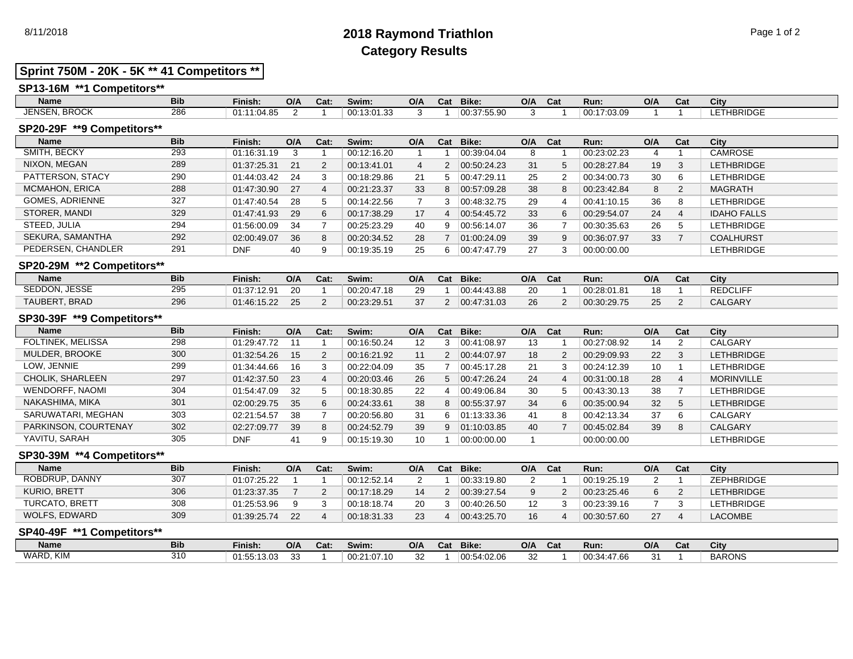## 8/11/2018 **2018 Raymond Triathlon** Page 1 of 2 **Category Results**

## **Sprint 750M - 20K - 5K \*\* 41 Competitors \*\***

### **SP13-16M \*\*1 Competitors\*\***

| Name                          | <b>Bib</b> | Finish:     | O/A | Cat: | Swim:                     | O/A | Cat | <b>Bike:</b> | O/A | Cat | Run:        | O/A | Cat | City             |
|-------------------------------|------------|-------------|-----|------|---------------------------|-----|-----|--------------|-----|-----|-------------|-----|-----|------------------|
| <b>BROCK</b><br><b>JENSEN</b> | 286        | 01:11:04.85 |     |      | <b>00.12.</b><br>.3:01.33 |     |     | 00:37:55.90  |     |     | 00:17:03.09 |     |     | HBRIDGE<br>$  -$ |
| ----------                    |            |             |     |      |                           |     |     |              |     |     |             |     |     |                  |

#### **SP20-29F \*\*9 Competitors\*\***

| <b>Name</b>            | <b>Bib</b> | Finish:     | O/A | Cat:           | Swim:       | O/A | Cat | Bike:                 | O/A | Cat | Run:        | O/A | Cat | City               |
|------------------------|------------|-------------|-----|----------------|-------------|-----|-----|-----------------------|-----|-----|-------------|-----|-----|--------------------|
| SMITH, BECKY           | 293        | 01:16:31.19 |     |                | 00:12:16.20 |     |     | 00:39:04.04           | 8   |     | 00:23:02.23 |     |     | <b>CAMROSE</b>     |
| NIXON, MEGAN           | 289        | 01:37:25.31 | 21  | $\overline{2}$ | 00:13:41.01 | 4   | 2   | $ 00.50.24.23\rangle$ | 31  |     | 00:28:27.84 | 19  | 3   | <b>LETHBRIDGE</b>  |
| PATTERSON, STACY       | 290        | 01:44:03.42 | 24  | 3              | 00:18:29.86 | 21  | 5   | 00.47:29.11           | 25  |     | 00:34:00.73 | 30  | 6   | <b>LETHBRIDGE</b>  |
| <b>MCMAHON, ERICA</b>  | 288        | 01:47:30.90 | 27  | 4              | 00:21:23.37 | 33  | 8   | 00.57.09.28           | 38  |     | 00:23:42.84 | 8   | 2   | <b>MAGRATH</b>     |
| <b>GOMES, ADRIENNE</b> | 327        | 01:47:40.54 | 28  | 5              | 00:14:22.56 |     | 3   | 00.48.32.75           | 29  |     | 00:41:10.15 | 36  | -8  | <b>LETHBRIDGE</b>  |
| STORER, MANDI          | 329        | 01:47:41.93 | 29  | 6              | 00:17:38.29 | 17  | 4   | 00:54:45.72           | 33  |     | 00:29:54.07 | 24  | 4   | <b>IDAHO FALLS</b> |
| STEED, JULIA           | 294        | 01:56:00.09 | 34  |                | 00:25:23.29 | 40  | 9   | 00.56.14.07           | 36  |     | 00:30:35.63 | 26  | 5   | <b>LETHBRIDGE</b>  |
| SEKURA, SAMANTHA       | 292        | 02:00:49.07 | 36  | 8              | 00:20:34.52 | 28  |     | 01:00:24.09           | 39  | 9   | 00:36:07.97 | 33  |     | <b>COALHURST</b>   |
| PEDERSEN, CHANDLER     | 291        | <b>DNF</b>  | 40  | 9              | 00:19:35.19 | 25  | 6   | 00:47:47.79           | 27  |     | 00:00:00.00 |     |     | <b>LETHBRIDGE</b>  |
|                        |            |             |     |                |             |     |     |                       |     |     |             |     |     |                    |

#### **SP20-29M \*\*2 Competitors\*\***

| Name               | <b>Bib</b> | Finish:     | O/A | Cat: | Swim:       | O/A | Cat | Bike:       | O/A | Cat | Run:        | O/A | Cat | City            |
|--------------------|------------|-------------|-----|------|-------------|-----|-----|-------------|-----|-----|-------------|-----|-----|-----------------|
| SEDDON, JESSE      | 295        | 01:37:12.91 | 20  |      | 00:20:47.18 | ററ  |     | 00:44:43.88 | 20  |     | 00:28:01.81 | 18  |     | <b>REDCLIFF</b> |
| . BRAD<br>TAUBERT, | 296        | 01:46:15.22 | 25  |      | 00:23:29.51 | 37  |     | 00:47:31.03 | 26  |     | 00:30:29.75 | 25  |     | <b>CALGARY</b>  |

#### **SP30-39F \*\*9 Competitors\*\***

| <b>Name</b>              | <b>Bib</b> | Finish:     | O/A | Cat: | Swim:       | O/A | Cat            | Bike:       | O/A | Cat | Run:        | O/A | Cat | City              |
|--------------------------|------------|-------------|-----|------|-------------|-----|----------------|-------------|-----|-----|-------------|-----|-----|-------------------|
| <b>FOLTINEK, MELISSA</b> | 298        | 01:29:47.72 |     |      | 00:16:50.24 | 12  | 3              | 00:41:08.97 | 13  |     | 00:27:08.92 | 14  |     | CALGARY           |
| MULDER, BROOKE           | 300        | 01:32:54.26 | 15  | 2    | 00:16:21.92 | 11  | $\overline{2}$ | 00:44:07.97 | 18  |     | 00:29:09.93 | 22  | 3   | <b>LETHBRIDGE</b> |
| LOW. JENNIE              | 299        | 01:34:44.66 | 16  | 3    | 00:22:04.09 | 35  |                | 00:45:17.28 | 21  |     | 00:24:12.39 | 10  |     | LETHBRIDGE        |
| CHOLIK, SHARLEEN         | 297        | 01:42:37.50 | 23  | 4    | 00:20:03.46 | 26  | 5              | 00:47:26.24 | 24  |     | 00:31:00.18 | 28  | 4   | <b>MORINVILLE</b> |
| <b>WENDORFF, NAOMI</b>   | 304        | 01:54:47.09 | 32  | 5    | 00:18:30.85 | 22  | 4              | 00:49:06.84 | 30  |     | 00:43:30.13 | 38  |     | LETHBRIDGE        |
| NAKASHIMA, MIKA          | 301        | 02:00:29.75 | 35  | 6    | 00:24:33.61 | 38  | 8              | 00:55:37.97 | 34  | 6   | 00:35:00.94 | 32  | 5   | <b>LETHBRIDGE</b> |
| SARUWATARI, MEGHAN       | 303        | 02:21:54.57 | 38  |      | 00:20:56.80 | 31  | 6              | 01:13:33.36 | 41  |     | 00:42:13.34 | 37  | 6   | CALGARY           |
| PARKINSON, COURTENAY     | 302        | 02:27:09.77 | 39  | 8    | 00:24:52.79 | 39  | 9              | 01:10:03.85 | 40  |     | 00:45:02.84 | 39  | 8   | <b>CALGARY</b>    |
| YAVITU, SARAH            | 305        | <b>DNF</b>  | 41  | 9    | 00:15:19.30 | 10  |                | 00:00:00.00 |     |     | 00:00:00.00 |     |     | LETHBRIDGE        |

#### **SP30-39M \*\*4 Competitors\*\***

| <b>Name</b>           | <b>Bib</b> | Finish:     | O/A | Cat: | Swim:       | O/A | Cat | Bike:       | O/A | <b>Cat</b> | Run:        | O/A | Cat | City              |
|-----------------------|------------|-------------|-----|------|-------------|-----|-----|-------------|-----|------------|-------------|-----|-----|-------------------|
| ROBDRUP, DANNY        | 307        | 01:07:25.22 |     |      | 00:12:52.14 |     |     | 00:33:19.80 |     |            | 00:19:25.19 |     |     | <b>ZEPHBRIDGE</b> |
| KURIO, BRETT          | 306        | 01:23:37.35 |     |      | 00:17:18.29 | 14  |     | 00:39:27.54 |     |            | 00:23:25.46 |     |     | <b>LETHBRIDGE</b> |
| <b>TURCATO, BRETT</b> | 308        | 01:25:53.96 |     |      | 00:18:18.74 | 20  |     | 00:40:26.50 |     |            | 00:23:39.16 |     |     | <b>LETHBRIDGE</b> |
| WOLFS, EDWARD         | 309        | 01:39:25.74 | 22  |      | 00:18:31.33 | 23  |     | 00.43.25.70 | 16  |            | 00:30:57.60 | 27  |     | <b>LACOMBE</b>    |

#### **SP40-49F \*\*1 Competitors\*\***

| <b>Name</b> | <b>Bib</b> | Finish:     | O/A | Cat: | Swim:           | O/A          | Cat | Bike:       | O/A       | Cat | Run:        | O/A               | Cat | City          |
|-------------|------------|-------------|-----|------|-----------------|--------------|-----|-------------|-----------|-----|-------------|-------------------|-----|---------------|
| WARD, KIM   | 310        | 01:55:13.03 | ີ   |      | 00:2<br>1:07.10 | $\sim$<br>∠ت |     | 00:54:02.06 | n n<br>JZ |     | 00:34:47.66 | $\sim$<br>$\cdot$ |     | <b>BARONS</b> |